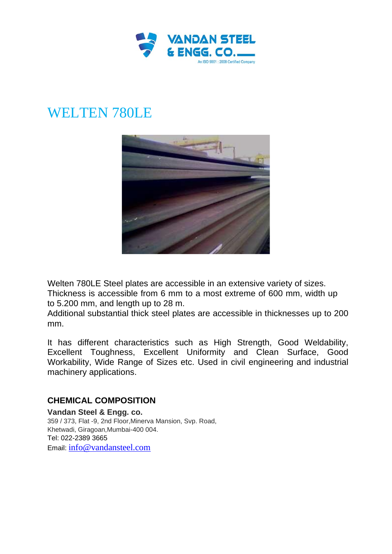

## WELTEN 780LE



Welten 780LE Steel plates are accessible in an extensive variety of sizes. Thickness is accessible from 6 mm to a most extreme of 600 mm, width up to 5.200 mm, and length up to 28 m.

Additional substantial thick steel plates are accessible in thicknesses up to 200 mm.

It has different characteristics such as High Strength, Good Weldability, Excellent Toughness, Excellent Uniformity and Clean Surface, Good Workability, Wide Range of Sizes etc. Used in civil engineering and industrial machinery applications.

## **CHEMICAL COMPOSITION**

**Vandan Steel & Engg. co.** 359 / 373, Flat -9, 2nd Floor,Minerva Mansion, Svp. Road, Khetwadi, Giragoan,Mumbai-400 004. Tel: 022-2389 3665 Email: [info@vandansteel.com](mailto:info@vandansteel.com)